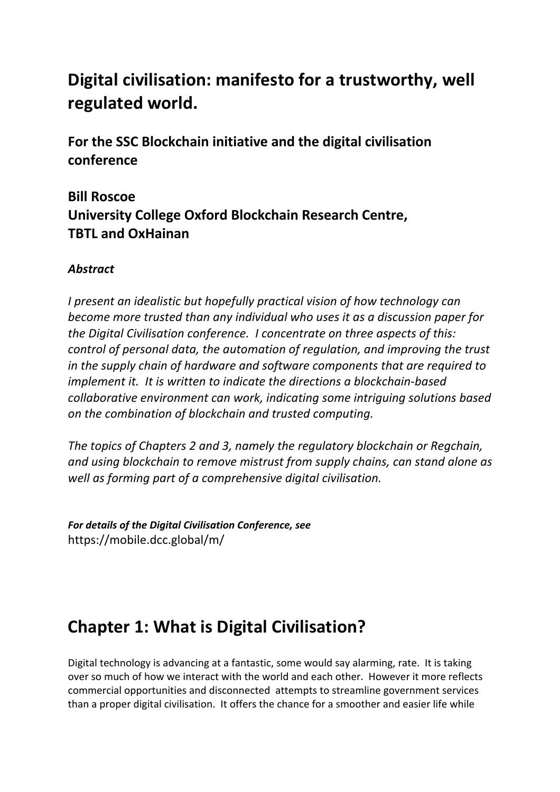# **Digital civilisation: manifesto for a trustworthy, well regulated world.**

**For the SSC Blockchain initiative and the digital civilisation conference**

# **Bill Roscoe University College Oxford Blockchain Research Centre, TBTL and OxHainan**

## *Abstract*

*I present an idealistic but hopefully practical vision of how technology can become more trusted than any individual who uses it as a discussion paper for the Digital Civilisation conference. I concentrate on three aspects of this: control of personal data, the automation of regulation, and improving the trust in the supply chain of hardware and software components that are required to implement it. It is written to indicate the directions a blockchain-based collaborative environment can work, indicating some intriguing solutions based on the combination of blockchain and trusted computing.* 

*The topics of Chapters 2 and 3, namely the regulatory blockchain or Regchain, and using blockchain to remove mistrust from supply chains, can stand alone as well as forming part of a comprehensive digital civilisation.*

*For details of the Digital Civilisation Conference, see* https://mobile.dcc.global/m/

# **Chapter 1: What is Digital Civilisation?**

Digital technology is advancing at a fantastic, some would say alarming, rate. It is taking over so much of how we interact with the world and each other. However it more reflects commercial opportunities and disconnected attempts to streamline government services than a proper digital civilisation. It offers the chance for a smoother and easier life while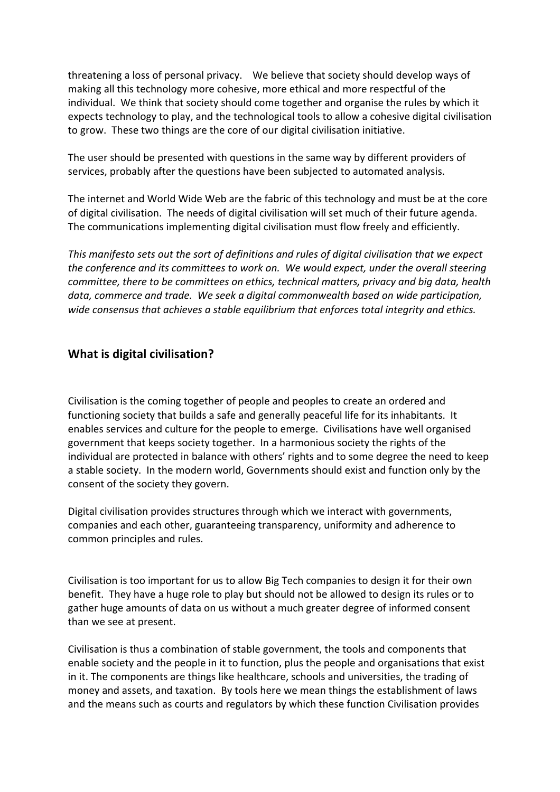threatening a loss of personal privacy. We believe that society should develop ways of making all this technology more cohesive, more ethical and more respectful of the individual. We think that society should come together and organise the rules by which it expects technology to play, and the technological tools to allow a cohesive digital civilisation to grow. These two things are the core of our digital civilisation initiative.

The user should be presented with questions in the same way by different providers of services, probably after the questions have been subjected to automated analysis.

The internet and World Wide Web are the fabric of this technology and must be at the core of digital civilisation. The needs of digital civilisation will set much of their future agenda. The communications implementing digital civilisation must flow freely and efficiently.

*This manifesto sets out the sort of definitions and rules of digital civilisation that we expect the conference and its committees to work on. We would expect, under the overall steering committee, there to be committees on ethics, technical matters, privacy and big data, health data, commerce and trade. We seek a digital commonwealth based on wide participation, wide consensus that achieves a stable equilibrium that enforces total integrity and ethics.*

#### **What is digital civilisation?**

Civilisation is the coming together of people and peoples to create an ordered and functioning society that builds a safe and generally peaceful life for its inhabitants. It enables services and culture for the people to emerge. Civilisations have well organised government that keeps society together. In a harmonious society the rights of the individual are protected in balance with others' rights and to some degree the need to keep a stable society. In the modern world, Governments should exist and function only by the consent of the society they govern.

Digital civilisation provides structures through which we interact with governments, companies and each other, guaranteeing transparency, uniformity and adherence to common principles and rules.

Civilisation is too important for us to allow Big Tech companies to design it for their own benefit. They have a huge role to play but should not be allowed to design its rules or to gather huge amounts of data on us without a much greater degree of informed consent than we see at present.

Civilisation is thus a combination of stable government, the tools and components that enable society and the people in it to function, plus the people and organisations that exist in it. The components are things like healthcare, schools and universities, the trading of money and assets, and taxation. By tools here we mean things the establishment of laws and the means such as courts and regulators by which these function Civilisation provides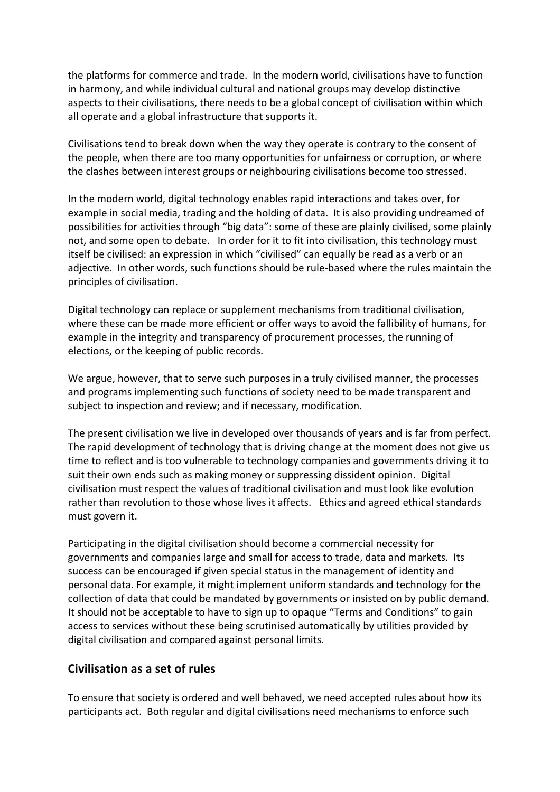the platforms for commerce and trade. In the modern world, civilisations have to function in harmony, and while individual cultural and national groups may develop distinctive aspects to their civilisations, there needs to be a global concept of civilisation within which all operate and a global infrastructure that supports it.

Civilisations tend to break down when the way they operate is contrary to the consent of the people, when there are too many opportunities for unfairness or corruption, or where the clashes between interest groups or neighbouring civilisations become too stressed.

In the modern world, digital technology enables rapid interactions and takes over, for example in social media, trading and the holding of data. It is also providing undreamed of possibilities for activities through "big data": some of these are plainly civilised, some plainly not, and some open to debate. In order for it to fit into civilisation, this technology must itself be civilised: an expression in which "civilised" can equally be read as a verb or an adjective. In other words, such functions should be rule-based where the rules maintain the principles of civilisation.

Digital technology can replace or supplement mechanisms from traditional civilisation, where these can be made more efficient or offer ways to avoid the fallibility of humans, for example in the integrity and transparency of procurement processes, the running of elections, or the keeping of public records.

We argue, however, that to serve such purposes in a truly civilised manner, the processes and programs implementing such functions of society need to be made transparent and subject to inspection and review; and if necessary, modification.

The present civilisation we live in developed over thousands of years and is far from perfect. The rapid development of technology that is driving change at the moment does not give us time to reflect and is too vulnerable to technology companies and governments driving it to suit their own ends such as making money or suppressing dissident opinion. Digital civilisation must respect the values of traditional civilisation and must look like evolution rather than revolution to those whose lives it affects. Ethics and agreed ethical standards must govern it.

Participating in the digital civilisation should become a commercial necessity for governments and companies large and small for access to trade, data and markets. Its success can be encouraged if given special status in the management of identity and personal data. For example, it might implement uniform standards and technology for the collection of data that could be mandated by governments or insisted on by public demand. It should not be acceptable to have to sign up to opaque "Terms and Conditions" to gain access to services without these being scrutinised automatically by utilities provided by digital civilisation and compared against personal limits.

#### **Civilisation as a set of rules**

To ensure that society is ordered and well behaved, we need accepted rules about how its participants act. Both regular and digital civilisations need mechanisms to enforce such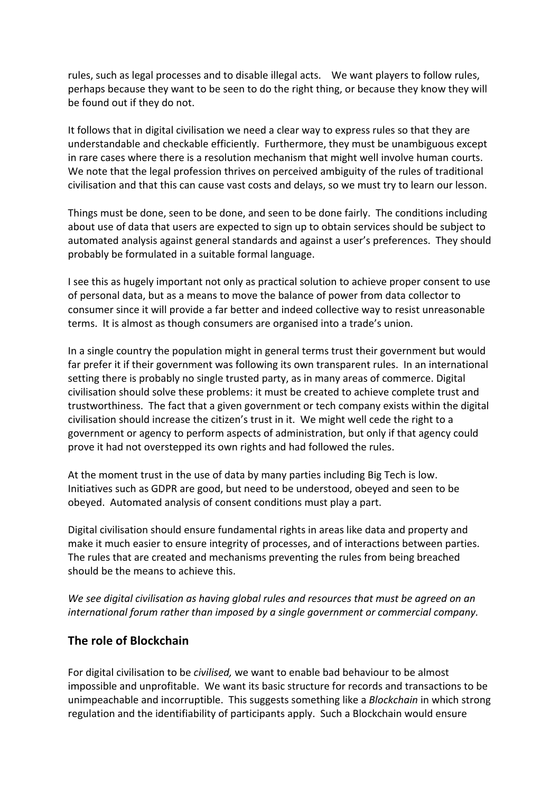rules, such as legal processes and to disable illegal acts. We want players to follow rules, perhaps because they want to be seen to do the right thing, or because they know they will be found out if they do not.

It follows that in digital civilisation we need a clear way to express rules so that they are understandable and checkable efficiently. Furthermore, they must be unambiguous except in rare cases where there is a resolution mechanism that might well involve human courts. We note that the legal profession thrives on perceived ambiguity of the rules of traditional civilisation and that this can cause vast costs and delays, so we must try to learn our lesson.

Things must be done, seen to be done, and seen to be done fairly. The conditions including about use of data that users are expected to sign up to obtain services should be subject to automated analysis against general standards and against a user's preferences. They should probably be formulated in a suitable formal language.

I see this as hugely important not only as practical solution to achieve proper consent to use of personal data, but as a means to move the balance of power from data collector to consumer since it will provide a far better and indeed collective way to resist unreasonable terms. It is almost as though consumers are organised into a trade's union.

In a single country the population might in general terms trust their government but would far prefer it if their government was following its own transparent rules. In an international setting there is probably no single trusted party, as in many areas of commerce. Digital civilisation should solve these problems: it must be created to achieve complete trust and trustworthiness. The fact that a given government or tech company exists within the digital civilisation should increase the citizen's trust in it. We might well cede the right to a government or agency to perform aspects of administration, but only if that agency could prove it had not overstepped its own rights and had followed the rules.

At the moment trust in the use of data by many parties including Big Tech is low. Initiatives such as GDPR are good, but need to be understood, obeyed and seen to be obeyed. Automated analysis of consent conditions must play a part.

Digital civilisation should ensure fundamental rights in areas like data and property and make it much easier to ensure integrity of processes, and of interactions between parties. The rules that are created and mechanisms preventing the rules from being breached should be the means to achieve this.

*We see digital civilisation as having global rules and resources that must be agreed on an international forum rather than imposed by a single government or commercial company.*

#### **The role of Blockchain**

For digital civilisation to be *civilised,* we want to enable bad behaviour to be almost impossible and unprofitable. We want its basic structure for records and transactions to be unimpeachable and incorruptible. This suggests something like a *Blockchain* in which strong regulation and the identifiability of participants apply. Such a Blockchain would ensure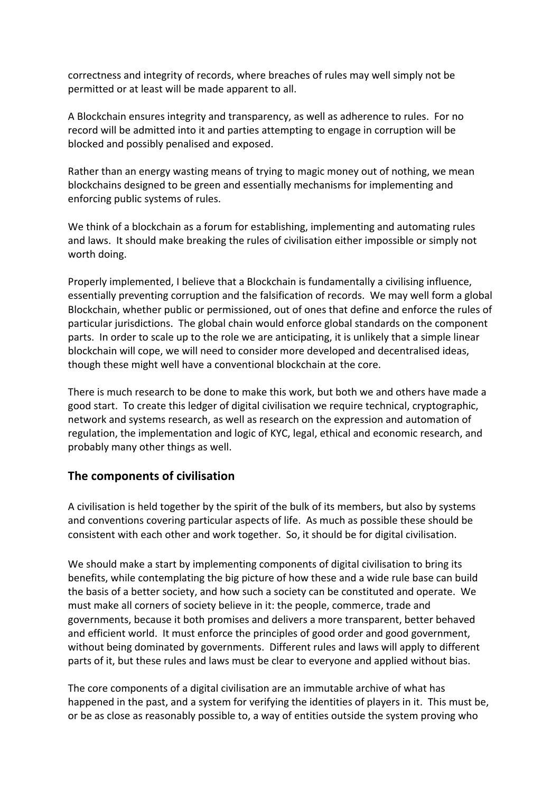correctness and integrity of records, where breaches of rules may well simply not be permitted or at least will be made apparent to all.

A Blockchain ensures integrity and transparency, as well as adherence to rules. For no record will be admitted into it and parties attempting to engage in corruption will be blocked and possibly penalised and exposed.

Rather than an energy wasting means of trying to magic money out of nothing, we mean blockchains designed to be green and essentially mechanisms for implementing and enforcing public systems of rules.

We think of a blockchain as a forum for establishing, implementing and automating rules and laws. It should make breaking the rules of civilisation either impossible or simply not worth doing.

Properly implemented, I believe that a Blockchain is fundamentally a civilising influence, essentially preventing corruption and the falsification of records. We may well form a global Blockchain, whether public or permissioned, out of ones that define and enforce the rules of particular jurisdictions. The global chain would enforce global standards on the component parts. In order to scale up to the role we are anticipating, it is unlikely that a simple linear blockchain will cope, we will need to consider more developed and decentralised ideas, though these might well have a conventional blockchain at the core.

There is much research to be done to make this work, but both we and others have made a good start. To create this ledger of digital civilisation we require technical, cryptographic, network and systems research, as well as research on the expression and automation of regulation, the implementation and logic of KYC, legal, ethical and economic research, and probably many other things as well.

#### **The components of civilisation**

A civilisation is held together by the spirit of the bulk of its members, but also by systems and conventions covering particular aspects of life. As much as possible these should be consistent with each other and work together. So, it should be for digital civilisation.

We should make a start by implementing components of digital civilisation to bring its benefits, while contemplating the big picture of how these and a wide rule base can build the basis of a better society, and how such a society can be constituted and operate. We must make all corners of society believe in it: the people, commerce, trade and governments, because it both promises and delivers a more transparent, better behaved and efficient world. It must enforce the principles of good order and good government, without being dominated by governments. Different rules and laws will apply to different parts of it, but these rules and laws must be clear to everyone and applied without bias.

The core components of a digital civilisation are an immutable archive of what has happened in the past, and a system for verifying the identities of players in it. This must be, or be as close as reasonably possible to, a way of entities outside the system proving who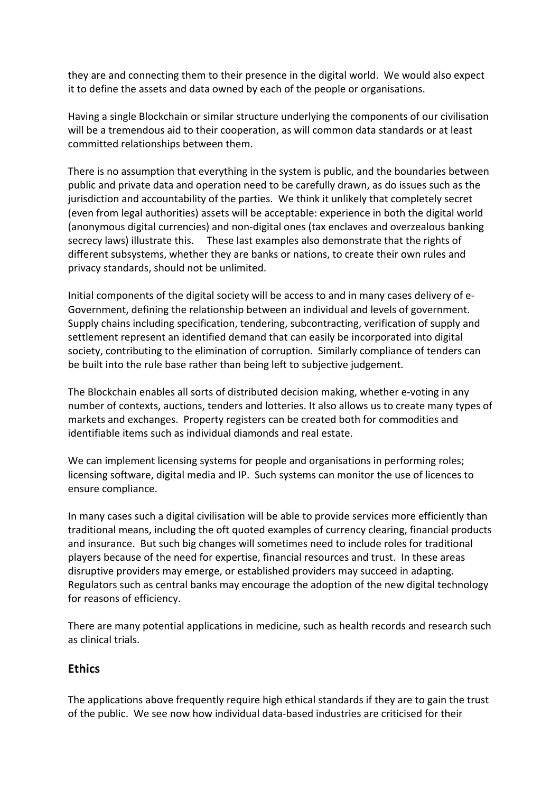they are and connecting them to their presence in the digital world. We would also expect it to define the assets and data owned by each of the people or organisations.

Having a single Blockchain or similar structure underlying the components of our civilisation will be a tremendous aid to their cooperation, as will common data standards or at least committed relationships between them.

There is no assumption that everything in the system is public, and the boundaries between public and private data and operation need to be carefully drawn, as do issues such as the jurisdiction and accountability of the parties. We think it unlikely that completely secret (even from legal authorities) assets will be acceptable: experience in both the digital world (anonymous digital currencies) and non-digital ones (tax enclaves and overzealous banking secrecy laws) illustrate this. These last examples also demonstrate that the rights of different subsystems, whether they are banks or nations, to create their own rules and privacy standards, should not be unlimited.

Initial components of the digital society will be access to and in many cases delivery of e-Government, defining the relationship between an individual and levels of government. Supply chains including specification, tendering, subcontracting, verification of supply and settlement represent an identified demand that can easily be incorporated into digital society, contributing to the elimination of corruption. Similarly compliance of tenders can be built into the rule base rather than being left to subjective judgement.

The Blockchain enables all sorts of distributed decision making, whether e-voting in any number of contexts, auctions, tenders and lotteries. It also allows us to create many types of markets and exchanges. Property registers can be created both for commodities and identifiable items such as individual diamonds and real estate.

We can implement licensing systems for people and organisations in performing roles; licensing software, digital media and IP. Such systems can monitor the use of licences to ensure compliance.

In many cases such a digital civilisation will be able to provide services more efficiently than traditional means, including the oft quoted examples of currency clearing, financial products and insurance. But such big changes will sometimes need to include roles for traditional players because of the need for expertise, financial resources and trust. In these areas disruptive providers may emerge, or established providers may succeed in adapting. Regulators such as central banks may encourage the adoption of the new digital technology for reasons of efficiency.

There are many potential applications in medicine, such as health records and research such as clinical trials.

#### **Ethics**

The applications above frequently require high ethical standards if they are to gain the trust of the public. We see now how individual data-based industries are criticised for their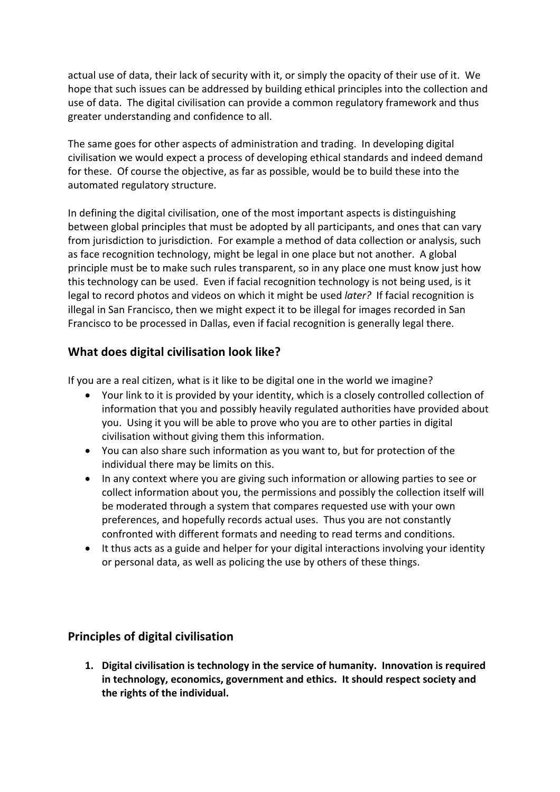actual use of data, their lack of security with it, or simply the opacity of their use of it. We hope that such issues can be addressed by building ethical principles into the collection and use of data. The digital civilisation can provide a common regulatory framework and thus greater understanding and confidence to all.

The same goes for other aspects of administration and trading. In developing digital civilisation we would expect a process of developing ethical standards and indeed demand for these. Of course the objective, as far as possible, would be to build these into the automated regulatory structure.

In defining the digital civilisation, one of the most important aspects is distinguishing between global principles that must be adopted by all participants, and ones that can vary from jurisdiction to jurisdiction. For example a method of data collection or analysis, such as face recognition technology, might be legal in one place but not another. A global principle must be to make such rules transparent, so in any place one must know just how this technology can be used. Even if facial recognition technology is not being used, is it legal to record photos and videos on which it might be used *later?* If facial recognition is illegal in San Francisco, then we might expect it to be illegal for images recorded in San Francisco to be processed in Dallas, even if facial recognition is generally legal there.

### **What does digital civilisation look like?**

If you are a real citizen, what is it like to be digital one in the world we imagine?

- Your link to it is provided by your identity, which is a closely controlled collection of information that you and possibly heavily regulated authorities have provided about you. Using it you will be able to prove who you are to other parties in digital civilisation without giving them this information.
- You can also share such information as you want to, but for protection of the individual there may be limits on this.
- In any context where you are giving such information or allowing parties to see or collect information about you, the permissions and possibly the collection itself will be moderated through a system that compares requested use with your own preferences, and hopefully records actual uses. Thus you are not constantly confronted with different formats and needing to read terms and conditions.
- It thus acts as a guide and helper for your digital interactions involving your identity or personal data, as well as policing the use by others of these things.

## **Principles of digital civilisation**

**1. Digital civilisation is technology in the service of humanity. Innovation is required in technology, economics, government and ethics. It should respect society and the rights of the individual.**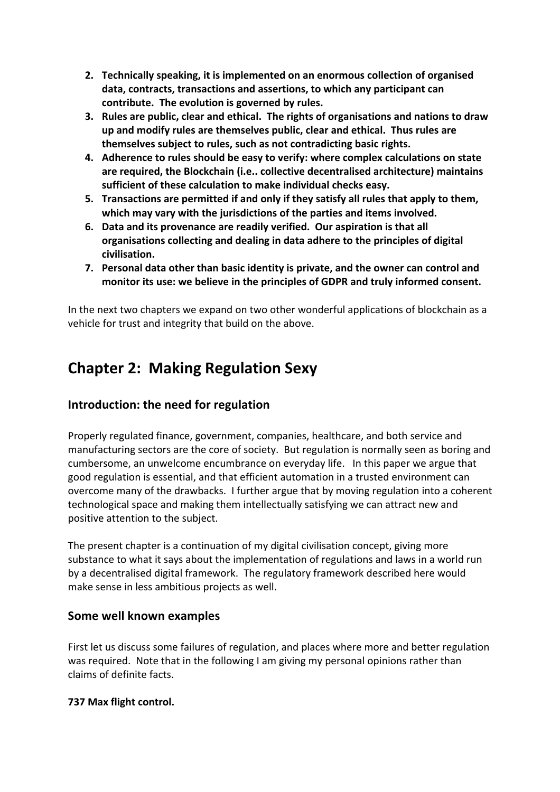- **2. Technically speaking, it is implemented on an enormous collection of organised data, contracts, transactions and assertions, to which any participant can contribute. The evolution is governed by rules.**
- **3. Rules are public, clear and ethical. The rights of organisations and nations to draw up and modify rules are themselves public, clear and ethical. Thus rules are themselves subject to rules, such as not contradicting basic rights.**
- **4. Adherence to rules should be easy to verify: where complex calculations on state are required, the Blockchain (i.e.. collective decentralised architecture) maintains sufficient of these calculation to make individual checks easy.**
- **5. Transactions are permitted if and only if they satisfy all rules that apply to them, which may vary with the jurisdictions of the parties and items involved.**
- **6. Data and its provenance are readily verified. Our aspiration is that all organisations collecting and dealing in data adhere to the principles of digital civilisation.**
- **7. Personal data other than basic identity is private, and the owner can control and monitor its use: we believe in the principles of GDPR and truly informed consent.**

In the next two chapters we expand on two other wonderful applications of blockchain as a vehicle for trust and integrity that build on the above.

# **Chapter 2: Making Regulation Sexy**

## **Introduction: the need for regulation**

Properly regulated finance, government, companies, healthcare, and both service and manufacturing sectors are the core of society. But regulation is normally seen as boring and cumbersome, an unwelcome encumbrance on everyday life. In this paper we argue that good regulation is essential, and that efficient automation in a trusted environment can overcome many of the drawbacks. I further argue that by moving regulation into a coherent technological space and making them intellectually satisfying we can attract new and positive attention to the subject.

The present chapter is a continuation of my digital civilisation concept, giving more substance to what it says about the implementation of regulations and laws in a world run by a decentralised digital framework. The regulatory framework described here would make sense in less ambitious projects as well.

#### **Some well known examples**

First let us discuss some failures of regulation, and places where more and better regulation was required. Note that in the following I am giving my personal opinions rather than claims of definite facts.

#### **737 Max flight control.**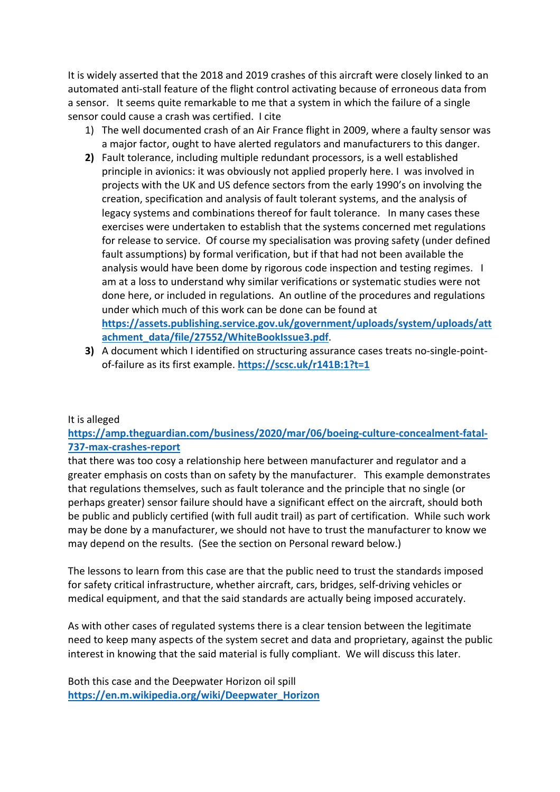It is widely asserted that the 2018 and 2019 crashes of this aircraft were closely linked to an automated anti-stall feature of the flight control activating because of erroneous data from a sensor. It seems quite remarkable to me that a system in which the failure of a single sensor could cause a crash was certified. I cite

- 1) The well documented crash of an Air France flight in 2009, where a faulty sensor was a major factor, ought to have alerted regulators and manufacturers to this danger.
- **2)** Fault tolerance, including multiple redundant processors, is a well established principle in avionics: it was obviously not applied properly here. I was involved in projects with the UK and US defence sectors from the early 1990's on involving the creation, specification and analysis of fault tolerant systems, and the analysis of legacy systems and combinations thereof for fault tolerance. In many cases these exercises were undertaken to establish that the systems concerned met regulations for release to service. Of course my specialisation was proving safety (under defined fault assumptions) by formal verification, but if that had not been available the analysis would have been dome by rigorous code inspection and testing regimes. I am at a loss to understand why similar verifications or systematic studies were not done here, or included in regulations. An outline of the procedures and regulations under which much of this work can be done can be found at **https://assets.publishing.service.gov.uk/government/uploads/system/uploads/att achment\_data/file/27552/WhiteBookIssue3.pdf**.
- **3)** A document which I identified on structuring assurance cases treats no-single-pointof-failure as its first example. **https://scsc.uk/r141B:1?t=1**

#### It is alleged

#### **https://amp.theguardian.com/business/2020/mar/06/boeing-culture-concealment-fatal-737-max-crashes-report**

that there was too cosy a relationship here between manufacturer and regulator and a greater emphasis on costs than on safety by the manufacturer. This example demonstrates that regulations themselves, such as fault tolerance and the principle that no single (or perhaps greater) sensor failure should have a significant effect on the aircraft, should both be public and publicly certified (with full audit trail) as part of certification. While such work may be done by a manufacturer, we should not have to trust the manufacturer to know we may depend on the results. (See the section on Personal reward below.)

The lessons to learn from this case are that the public need to trust the standards imposed for safety critical infrastructure, whether aircraft, cars, bridges, self-driving vehicles or medical equipment, and that the said standards are actually being imposed accurately.

As with other cases of regulated systems there is a clear tension between the legitimate need to keep many aspects of the system secret and data and proprietary, against the public interest in knowing that the said material is fully compliant. We will discuss this later.

Both this case and the Deepwater Horizon oil spill **https://en.m.wikipedia.org/wiki/Deepwater\_Horizon**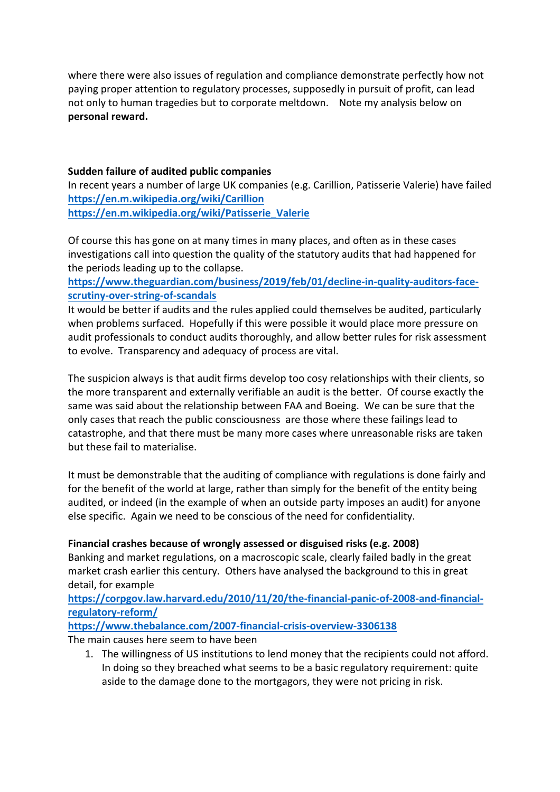where there were also issues of regulation and compliance demonstrate perfectly how not paying proper attention to regulatory processes, supposedly in pursuit of profit, can lead not only to human tragedies but to corporate meltdown. Note my analysis below on **personal reward.**

#### **Sudden failure of audited public companies**

In recent years a number of large UK companies (e.g. Carillion, Patisserie Valerie) have failed **https://en.m.wikipedia.org/wiki/Carillion https://en.m.wikipedia.org/wiki/Patisserie\_Valerie**

Of course this has gone on at many times in many places, and often as in these cases investigations call into question the quality of the statutory audits that had happened for the periods leading up to the collapse.

**https://www.theguardian.com/business/2019/feb/01/decline-in-quality-auditors-facescrutiny-over-string-of-scandals**

It would be better if audits and the rules applied could themselves be audited, particularly when problems surfaced. Hopefully if this were possible it would place more pressure on audit professionals to conduct audits thoroughly, and allow better rules for risk assessment to evolve. Transparency and adequacy of process are vital.

The suspicion always is that audit firms develop too cosy relationships with their clients, so the more transparent and externally verifiable an audit is the better. Of course exactly the same was said about the relationship between FAA and Boeing. We can be sure that the only cases that reach the public consciousness are those where these failings lead to catastrophe, and that there must be many more cases where unreasonable risks are taken but these fail to materialise.

It must be demonstrable that the auditing of compliance with regulations is done fairly and for the benefit of the world at large, rather than simply for the benefit of the entity being audited, or indeed (in the example of when an outside party imposes an audit) for anyone else specific. Again we need to be conscious of the need for confidentiality.

#### **Financial crashes because of wrongly assessed or disguised risks (e.g. 2008)**

Banking and market regulations, on a macroscopic scale, clearly failed badly in the great market crash earlier this century. Others have analysed the background to this in great detail, for example

**https://corpgov.law.harvard.edu/2010/11/20/the-financial-panic-of-2008-and-financialregulatory-reform/**

**https://www.thebalance.com/2007-financial-crisis-overview-3306138** The main causes here seem to have been

1. The willingness of US institutions to lend money that the recipients could not afford. In doing so they breached what seems to be a basic regulatory requirement: quite aside to the damage done to the mortgagors, they were not pricing in risk.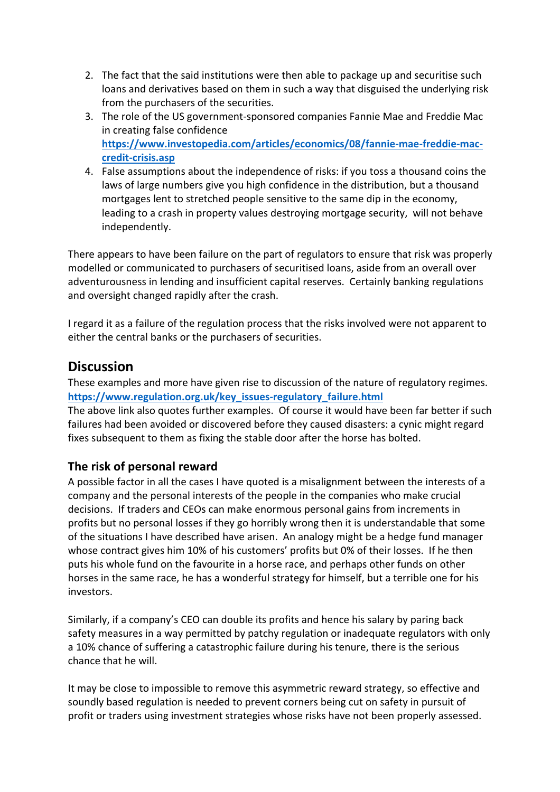- 2. The fact that the said institutions were then able to package up and securitise such loans and derivatives based on them in such a way that disguised the underlying risk from the purchasers of the securities.
- 3. The role of the US government-sponsored companies Fannie Mae and Freddie Mac in creating false confidence **https://www.investopedia.com/articles/economics/08/fannie-mae-freddie-maccredit-crisis.asp**
- 4. False assumptions about the independence of risks: if you toss a thousand coins the laws of large numbers give you high confidence in the distribution, but a thousand mortgages lent to stretched people sensitive to the same dip in the economy, leading to a crash in property values destroying mortgage security, will not behave independently.

There appears to have been failure on the part of regulators to ensure that risk was properly modelled or communicated to purchasers of securitised loans, aside from an overall over adventurousness in lending and insufficient capital reserves. Certainly banking regulations and oversight changed rapidly after the crash.

I regard it as a failure of the regulation process that the risks involved were not apparent to either the central banks or the purchasers of securities.

# **Discussion**

These examples and more have given rise to discussion of the nature of regulatory regimes. **https://www.regulation.org.uk/key\_issues-regulatory\_failure.html**

The above link also quotes further examples. Of course it would have been far better if such failures had been avoided or discovered before they caused disasters: a cynic might regard fixes subsequent to them as fixing the stable door after the horse has bolted.

## **The risk of personal reward**

A possible factor in all the cases I have quoted is a misalignment between the interests of a company and the personal interests of the people in the companies who make crucial decisions. If traders and CEOs can make enormous personal gains from increments in profits but no personal losses if they go horribly wrong then it is understandable that some of the situations I have described have arisen. An analogy might be a hedge fund manager whose contract gives him 10% of his customers' profits but 0% of their losses. If he then puts his whole fund on the favourite in a horse race, and perhaps other funds on other horses in the same race, he has a wonderful strategy for himself, but a terrible one for his investors.

Similarly, if a company's CEO can double its profits and hence his salary by paring back safety measures in a way permitted by patchy regulation or inadequate regulators with only a 10% chance of suffering a catastrophic failure during his tenure, there is the serious chance that he will.

It may be close to impossible to remove this asymmetric reward strategy, so effective and soundly based regulation is needed to prevent corners being cut on safety in pursuit of profit or traders using investment strategies whose risks have not been properly assessed.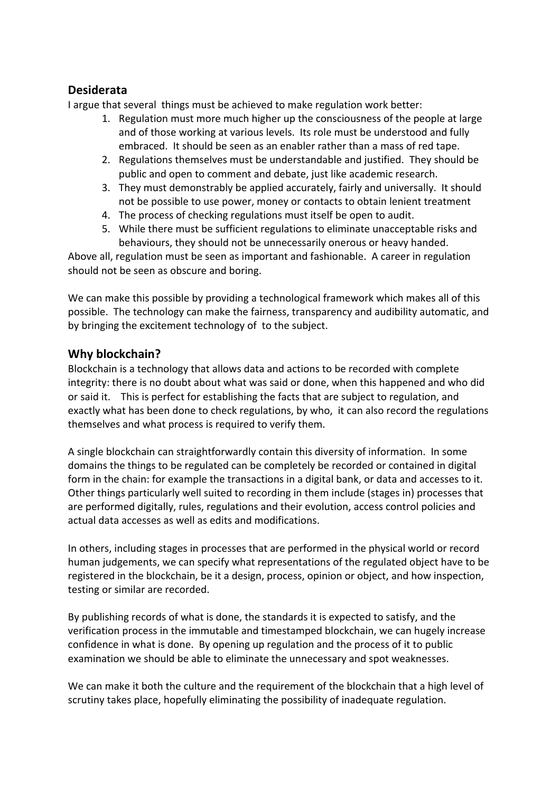### **Desiderata**

I argue that several things must be achieved to make regulation work better:

- 1. Regulation must more much higher up the consciousness of the people at large and of those working at various levels. Its role must be understood and fully embraced. It should be seen as an enabler rather than a mass of red tape.
- 2. Regulations themselves must be understandable and justified. They should be public and open to comment and debate, just like academic research.
- 3. They must demonstrably be applied accurately, fairly and universally. It should not be possible to use power, money or contacts to obtain lenient treatment
- 4. The process of checking regulations must itself be open to audit.
- 5. While there must be sufficient regulations to eliminate unacceptable risks and behaviours, they should not be unnecessarily onerous or heavy handed.

Above all, regulation must be seen as important and fashionable. A career in regulation should not be seen as obscure and boring.

We can make this possible by providing a technological framework which makes all of this possible. The technology can make the fairness, transparency and audibility automatic, and by bringing the excitement technology of to the subject.

#### **Why blockchain?**

Blockchain is a technology that allows data and actions to be recorded with complete integrity: there is no doubt about what was said or done, when this happened and who did or said it. This is perfect for establishing the facts that are subject to regulation, and exactly what has been done to check regulations, by who, it can also record the regulations themselves and what process is required to verify them.

A single blockchain can straightforwardly contain this diversity of information. In some domains the things to be regulated can be completely be recorded or contained in digital form in the chain: for example the transactions in a digital bank, or data and accesses to it. Other things particularly well suited to recording in them include (stages in) processes that are performed digitally, rules, regulations and their evolution, access control policies and actual data accesses as well as edits and modifications.

In others, including stages in processes that are performed in the physical world or record human judgements, we can specify what representations of the regulated object have to be registered in the blockchain, be it a design, process, opinion or object, and how inspection, testing or similar are recorded.

By publishing records of what is done, the standards it is expected to satisfy, and the verification process in the immutable and timestamped blockchain, we can hugely increase confidence in what is done. By opening up regulation and the process of it to public examination we should be able to eliminate the unnecessary and spot weaknesses.

We can make it both the culture and the requirement of the blockchain that a high level of scrutiny takes place, hopefully eliminating the possibility of inadequate regulation.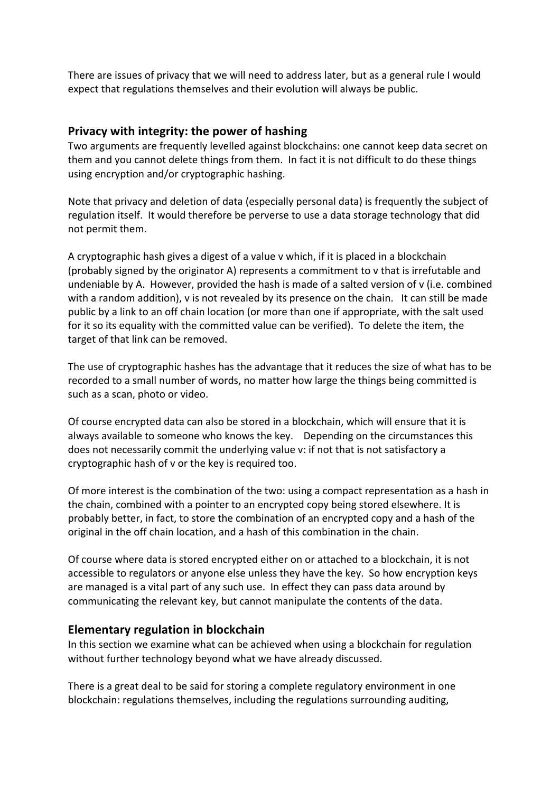There are issues of privacy that we will need to address later, but as a general rule I would expect that regulations themselves and their evolution will always be public.

#### **Privacy with integrity: the power of hashing**

Two arguments are frequently levelled against blockchains: one cannot keep data secret on them and you cannot delete things from them. In fact it is not difficult to do these things using encryption and/or cryptographic hashing.

Note that privacy and deletion of data (especially personal data) is frequently the subject of regulation itself. It would therefore be perverse to use a data storage technology that did not permit them.

A cryptographic hash gives a digest of a value v which, if it is placed in a blockchain (probably signed by the originator A) represents a commitment to v that is irrefutable and undeniable by A. However, provided the hash is made of a salted version of v (i.e. combined with a random addition), v is not revealed by its presence on the chain. It can still be made public by a link to an off chain location (or more than one if appropriate, with the salt used for it so its equality with the committed value can be verified). To delete the item, the target of that link can be removed.

The use of cryptographic hashes has the advantage that it reduces the size of what has to be recorded to a small number of words, no matter how large the things being committed is such as a scan, photo or video.

Of course encrypted data can also be stored in a blockchain, which will ensure that it is always available to someone who knows the key. Depending on the circumstances this does not necessarily commit the underlying value v: if not that is not satisfactory a cryptographic hash of v or the key is required too.

Of more interest is the combination of the two: using a compact representation as a hash in the chain, combined with a pointer to an encrypted copy being stored elsewhere. It is probably better, in fact, to store the combination of an encrypted copy and a hash of the original in the off chain location, and a hash of this combination in the chain.

Of course where data is stored encrypted either on or attached to a blockchain, it is not accessible to regulators or anyone else unless they have the key. So how encryption keys are managed is a vital part of any such use. In effect they can pass data around by communicating the relevant key, but cannot manipulate the contents of the data.

#### **Elementary regulation in blockchain**

In this section we examine what can be achieved when using a blockchain for regulation without further technology beyond what we have already discussed.

There is a great deal to be said for storing a complete regulatory environment in one blockchain: regulations themselves, including the regulations surrounding auditing,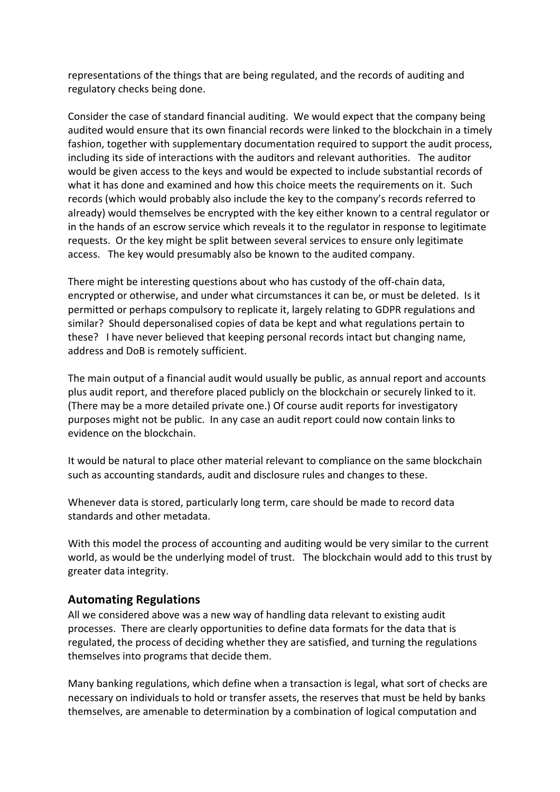representations of the things that are being regulated, and the records of auditing and regulatory checks being done.

Consider the case of standard financial auditing. We would expect that the company being audited would ensure that its own financial records were linked to the blockchain in a timely fashion, together with supplementary documentation required to support the audit process, including its side of interactions with the auditors and relevant authorities. The auditor would be given access to the keys and would be expected to include substantial records of what it has done and examined and how this choice meets the requirements on it. Such records (which would probably also include the key to the company's records referred to already) would themselves be encrypted with the key either known to a central regulator or in the hands of an escrow service which reveals it to the regulator in response to legitimate requests. Or the key might be split between several services to ensure only legitimate access. The key would presumably also be known to the audited company.

There might be interesting questions about who has custody of the off-chain data, encrypted or otherwise, and under what circumstances it can be, or must be deleted. Is it permitted or perhaps compulsory to replicate it, largely relating to GDPR regulations and similar? Should depersonalised copies of data be kept and what regulations pertain to these? I have never believed that keeping personal records intact but changing name, address and DoB is remotely sufficient.

The main output of a financial audit would usually be public, as annual report and accounts plus audit report, and therefore placed publicly on the blockchain or securely linked to it. (There may be a more detailed private one.) Of course audit reports for investigatory purposes might not be public. In any case an audit report could now contain links to evidence on the blockchain.

It would be natural to place other material relevant to compliance on the same blockchain such as accounting standards, audit and disclosure rules and changes to these.

Whenever data is stored, particularly long term, care should be made to record data standards and other metadata.

With this model the process of accounting and auditing would be very similar to the current world, as would be the underlying model of trust. The blockchain would add to this trust by greater data integrity.

#### **Automating Regulations**

All we considered above was a new way of handling data relevant to existing audit processes. There are clearly opportunities to define data formats for the data that is regulated, the process of deciding whether they are satisfied, and turning the regulations themselves into programs that decide them.

Many banking regulations, which define when a transaction is legal, what sort of checks are necessary on individuals to hold or transfer assets, the reserves that must be held by banks themselves, are amenable to determination by a combination of logical computation and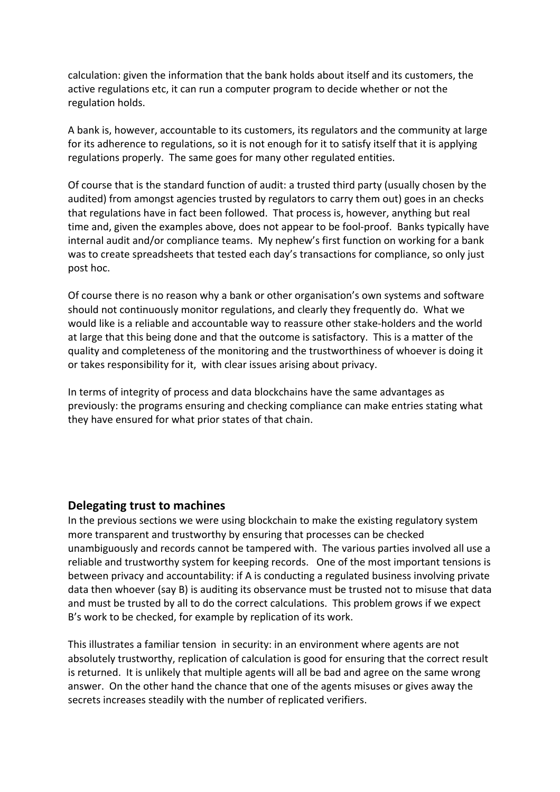calculation: given the information that the bank holds about itself and its customers, the active regulations etc, it can run a computer program to decide whether or not the regulation holds.

A bank is, however, accountable to its customers, its regulators and the community at large for its adherence to regulations, so it is not enough for it to satisfy itself that it is applying regulations properly. The same goes for many other regulated entities.

Of course that is the standard function of audit: a trusted third party (usually chosen by the audited) from amongst agencies trusted by regulators to carry them out) goes in an checks that regulations have in fact been followed. That process is, however, anything but real time and, given the examples above, does not appear to be fool-proof. Banks typically have internal audit and/or compliance teams. My nephew's first function on working for a bank was to create spreadsheets that tested each day's transactions for compliance, so only just post hoc.

Of course there is no reason why a bank or other organisation's own systems and software should not continuously monitor regulations, and clearly they frequently do. What we would like is a reliable and accountable way to reassure other stake-holders and the world at large that this being done and that the outcome is satisfactory. This is a matter of the quality and completeness of the monitoring and the trustworthiness of whoever is doing it or takes responsibility for it, with clear issues arising about privacy.

In terms of integrity of process and data blockchains have the same advantages as previously: the programs ensuring and checking compliance can make entries stating what they have ensured for what prior states of that chain.

#### **Delegating trust to machines**

In the previous sections we were using blockchain to make the existing regulatory system more transparent and trustworthy by ensuring that processes can be checked unambiguously and records cannot be tampered with. The various parties involved all use a reliable and trustworthy system for keeping records. One of the most important tensions is between privacy and accountability: if A is conducting a regulated business involving private data then whoever (say B) is auditing its observance must be trusted not to misuse that data and must be trusted by all to do the correct calculations. This problem grows if we expect B's work to be checked, for example by replication of its work.

This illustrates a familiar tension in security: in an environment where agents are not absolutely trustworthy, replication of calculation is good for ensuring that the correct result is returned. It is unlikely that multiple agents will all be bad and agree on the same wrong answer. On the other hand the chance that one of the agents misuses or gives away the secrets increases steadily with the number of replicated verifiers.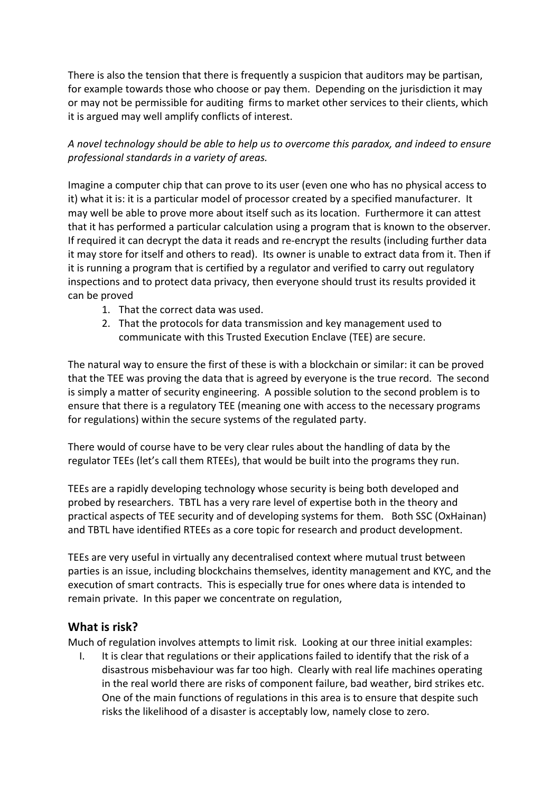There is also the tension that there is frequently a suspicion that auditors may be partisan, for example towards those who choose or pay them. Depending on the jurisdiction it may or may not be permissible for auditing firms to market other services to their clients, which it is argued may well amplify conflicts of interest.

#### *A novel technology should be able to help us to overcome this paradox, and indeed to ensure professional standards in a variety of areas.*

Imagine a computer chip that can prove to its user (even one who has no physical access to it) what it is: it is a particular model of processor created by a specified manufacturer. It may well be able to prove more about itself such as its location. Furthermore it can attest that it has performed a particular calculation using a program that is known to the observer. If required it can decrypt the data it reads and re-encrypt the results (including further data it may store for itself and others to read). Its owner is unable to extract data from it. Then if it is running a program that is certified by a regulator and verified to carry out regulatory inspections and to protect data privacy, then everyone should trust its results provided it can be proved

- 1. That the correct data was used.
- 2. That the protocols for data transmission and key management used to communicate with this Trusted Execution Enclave (TEE) are secure.

The natural way to ensure the first of these is with a blockchain or similar: it can be proved that the TEE was proving the data that is agreed by everyone is the true record. The second is simply a matter of security engineering. A possible solution to the second problem is to ensure that there is a regulatory TEE (meaning one with access to the necessary programs for regulations) within the secure systems of the regulated party.

There would of course have to be very clear rules about the handling of data by the regulator TEEs (let's call them RTEEs), that would be built into the programs they run.

TEEs are a rapidly developing technology whose security is being both developed and probed by researchers. TBTL has a very rare level of expertise both in the theory and practical aspects of TEE security and of developing systems for them. Both SSC (OxHainan) and TBTL have identified RTEEs as a core topic for research and product development.

TEEs are very useful in virtually any decentralised context where mutual trust between parties is an issue, including blockchains themselves, identity management and KYC, and the execution of smart contracts. This is especially true for ones where data is intended to remain private. In this paper we concentrate on regulation,

#### **What is risk?**

Much of regulation involves attempts to limit risk. Looking at our three initial examples:

I. It is clear that regulations or their applications failed to identify that the risk of a disastrous misbehaviour was far too high. Clearly with real life machines operating in the real world there are risks of component failure, bad weather, bird strikes etc. One of the main functions of regulations in this area is to ensure that despite such risks the likelihood of a disaster is acceptably low, namely close to zero.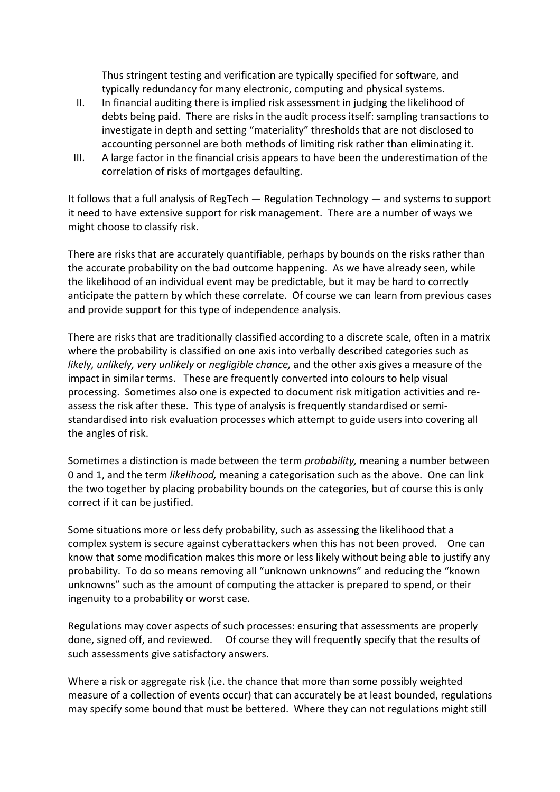Thus stringent testing and verification are typically specified for software, and typically redundancy for many electronic, computing and physical systems.

- II. In financial auditing there is implied risk assessment in judging the likelihood of debts being paid. There are risks in the audit process itself: sampling transactions to investigate in depth and setting "materiality" thresholds that are not disclosed to accounting personnel are both methods of limiting risk rather than eliminating it.
- III. A large factor in the financial crisis appears to have been the underestimation of the correlation of risks of mortgages defaulting.

It follows that a full analysis of RegTech — Regulation Technology — and systems to support it need to have extensive support for risk management. There are a number of ways we might choose to classify risk.

There are risks that are accurately quantifiable, perhaps by bounds on the risks rather than the accurate probability on the bad outcome happening. As we have already seen, while the likelihood of an individual event may be predictable, but it may be hard to correctly anticipate the pattern by which these correlate. Of course we can learn from previous cases and provide support for this type of independence analysis.

There are risks that are traditionally classified according to a discrete scale, often in a matrix where the probability is classified on one axis into verbally described categories such as *likely, unlikely, very unlikely* or *negligible chance,* and the other axis gives a measure of the impact in similar terms. These are frequently converted into colours to help visual processing. Sometimes also one is expected to document risk mitigation activities and reassess the risk after these. This type of analysis is frequently standardised or semistandardised into risk evaluation processes which attempt to guide users into covering all the angles of risk.

Sometimes a distinction is made between the term *probability,* meaning a number between 0 and 1, and the term *likelihood,* meaning a categorisation such as the above. One can link the two together by placing probability bounds on the categories, but of course this is only correct if it can be justified.

Some situations more or less defy probability, such as assessing the likelihood that a complex system is secure against cyberattackers when this has not been proved. One can know that some modification makes this more or less likely without being able to justify any probability. To do so means removing all "unknown unknowns" and reducing the "known unknowns" such as the amount of computing the attacker is prepared to spend, or their ingenuity to a probability or worst case.

Regulations may cover aspects of such processes: ensuring that assessments are properly done, signed off, and reviewed. Of course they will frequently specify that the results of such assessments give satisfactory answers.

Where a risk or aggregate risk (i.e. the chance that more than some possibly weighted measure of a collection of events occur) that can accurately be at least bounded, regulations may specify some bound that must be bettered. Where they can not regulations might still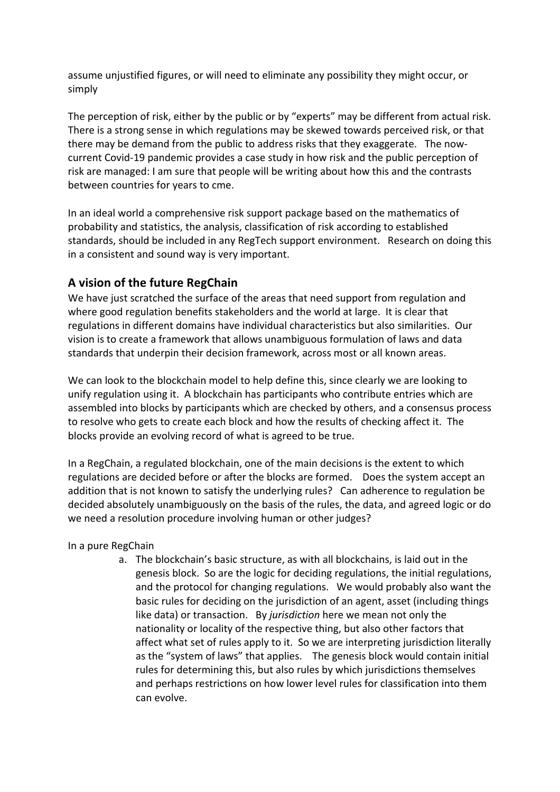assume unjustified figures, or will need to eliminate any possibility they might occur, or simply

The perception of risk, either by the public or by "experts" may be different from actual risk. There is a strong sense in which regulations may be skewed towards perceived risk, or that there may be demand from the public to address risks that they exaggerate. The nowcurrent Covid-19 pandemic provides a case study in how risk and the public perception of risk are managed: I am sure that people will be writing about how this and the contrasts between countries for years to cme.

In an ideal world a comprehensive risk support package based on the mathematics of probability and statistics, the analysis, classification of risk according to established standards, should be included in any RegTech support environment. Research on doing this in a consistent and sound way is very important.

#### **A vision of the future RegChain**

We have just scratched the surface of the areas that need support from regulation and where good regulation benefits stakeholders and the world at large. It is clear that regulations in different domains have individual characteristics but also similarities. Our vision is to create a framework that allows unambiguous formulation of laws and data standards that underpin their decision framework, across most or all known areas.

We can look to the blockchain model to help define this, since clearly we are looking to unify regulation using it. A blockchain has participants who contribute entries which are assembled into blocks by participants which are checked by others, and a consensus process to resolve who gets to create each block and how the results of checking affect it. The blocks provide an evolving record of what is agreed to be true.

In a RegChain, a regulated blockchain, one of the main decisions is the extent to which regulations are decided before or after the blocks are formed. Does the system accept an addition that is not known to satisfy the underlying rules? Can adherence to regulation be decided absolutely unambiguously on the basis of the rules, the data, and agreed logic or do we need a resolution procedure involving human or other judges?

#### In a pure RegChain

a. The blockchain's basic structure, as with all blockchains, is laid out in the genesis block. So are the logic for deciding regulations, the initial regulations, and the protocol for changing regulations. We would probably also want the basic rules for deciding on the jurisdiction of an agent, asset (including things like data) or transaction. By *jurisdiction* here we mean not only the nationality or locality of the respective thing, but also other factors that affect what set of rules apply to it. So we are interpreting jurisdiction literally as the "system of laws" that applies. The genesis block would contain initial rules for determining this, but also rules by which jurisdictions themselves and perhaps restrictions on how lower level rules for classification into them can evolve.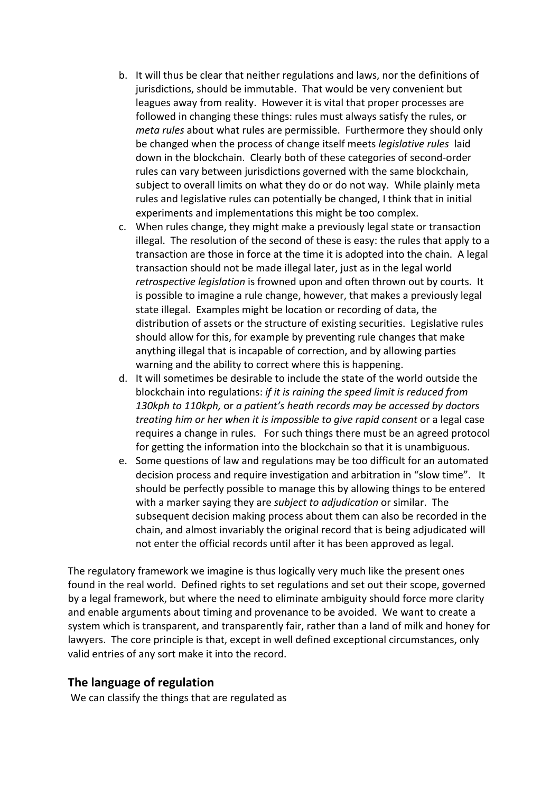- b. It will thus be clear that neither regulations and laws, nor the definitions of jurisdictions, should be immutable. That would be very convenient but leagues away from reality. However it is vital that proper processes are followed in changing these things: rules must always satisfy the rules, or *meta rules* about what rules are permissible. Furthermore they should only be changed when the process of change itself meets *legislative rules* laid down in the blockchain. Clearly both of these categories of second-order rules can vary between jurisdictions governed with the same blockchain, subject to overall limits on what they do or do not way. While plainly meta rules and legislative rules can potentially be changed, I think that in initial experiments and implementations this might be too complex.
- c. When rules change, they might make a previously legal state or transaction illegal. The resolution of the second of these is easy: the rules that apply to a transaction are those in force at the time it is adopted into the chain. A legal transaction should not be made illegal later, just as in the legal world *retrospective legislation* is frowned upon and often thrown out by courts. It is possible to imagine a rule change, however, that makes a previously legal state illegal. Examples might be location or recording of data, the distribution of assets or the structure of existing securities. Legislative rules should allow for this, for example by preventing rule changes that make anything illegal that is incapable of correction, and by allowing parties warning and the ability to correct where this is happening.
- d. It will sometimes be desirable to include the state of the world outside the blockchain into regulations: *if it is raining the speed limit is reduced from 130kph to 110kph,* or *a patient's heath records may be accessed by doctors treating him or her when it is impossible to give rapid consent* or a legal case requires a change in rules. For such things there must be an agreed protocol for getting the information into the blockchain so that it is unambiguous.
- e. Some questions of law and regulations may be too difficult for an automated decision process and require investigation and arbitration in "slow time". It should be perfectly possible to manage this by allowing things to be entered with a marker saying they are *subject to adjudication* or similar. The subsequent decision making process about them can also be recorded in the chain, and almost invariably the original record that is being adjudicated will not enter the official records until after it has been approved as legal.

The regulatory framework we imagine is thus logically very much like the present ones found in the real world. Defined rights to set regulations and set out their scope, governed by a legal framework, but where the need to eliminate ambiguity should force more clarity and enable arguments about timing and provenance to be avoided. We want to create a system which is transparent, and transparently fair, rather than a land of milk and honey for lawyers. The core principle is that, except in well defined exceptional circumstances, only valid entries of any sort make it into the record.

#### **The language of regulation**

We can classify the things that are regulated as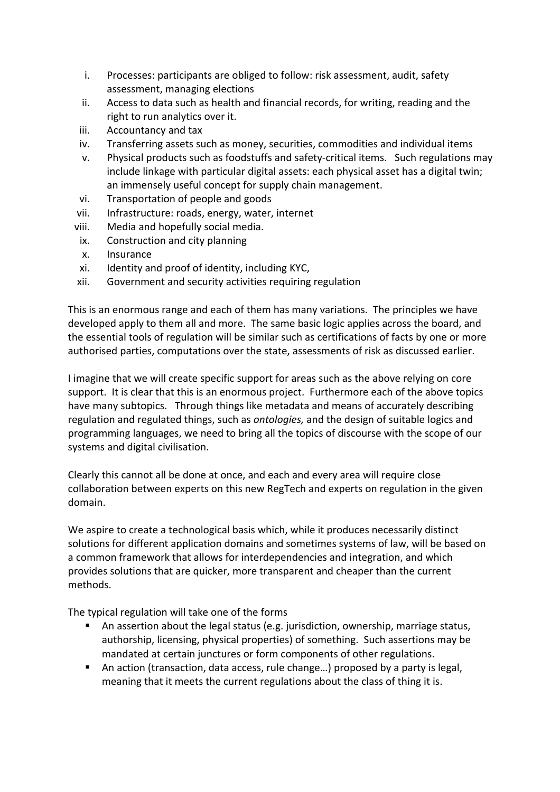- i. Processes: participants are obliged to follow: risk assessment, audit, safety assessment, managing elections
- ii. Access to data such as health and financial records, for writing, reading and the right to run analytics over it.
- iii. Accountancy and tax
- iv. Transferring assets such as money, securities, commodities and individual items
- v. Physical products such as foodstuffs and safety-critical items. Such regulations may include linkage with particular digital assets: each physical asset has a digital twin; an immensely useful concept for supply chain management.
- vi. Transportation of people and goods
- vii. Infrastructure: roads, energy, water, internet
- viii. Media and hopefully social media.
- ix. Construction and city planning
- x. Insurance
- xi. Identity and proof of identity, including KYC,
- xii. Government and security activities requiring regulation

This is an enormous range and each of them has many variations. The principles we have developed apply to them all and more. The same basic logic applies across the board, and the essential tools of regulation will be similar such as certifications of facts by one or more authorised parties, computations over the state, assessments of risk as discussed earlier.

I imagine that we will create specific support for areas such as the above relying on core support. It is clear that this is an enormous project. Furthermore each of the above topics have many subtopics. Through things like metadata and means of accurately describing regulation and regulated things, such as *ontologies,* and the design of suitable logics and programming languages, we need to bring all the topics of discourse with the scope of our systems and digital civilisation.

Clearly this cannot all be done at once, and each and every area will require close collaboration between experts on this new RegTech and experts on regulation in the given domain.

We aspire to create a technological basis which, while it produces necessarily distinct solutions for different application domains and sometimes systems of law, will be based on a common framework that allows for interdependencies and integration, and which provides solutions that are quicker, more transparent and cheaper than the current methods.

The typical regulation will take one of the forms

- An assertion about the legal status (e.g. jurisdiction, ownership, marriage status, authorship, licensing, physical properties) of something. Such assertions may be mandated at certain junctures or form components of other regulations.
- § An action (transaction, data access, rule change…) proposed by a party is legal, meaning that it meets the current regulations about the class of thing it is.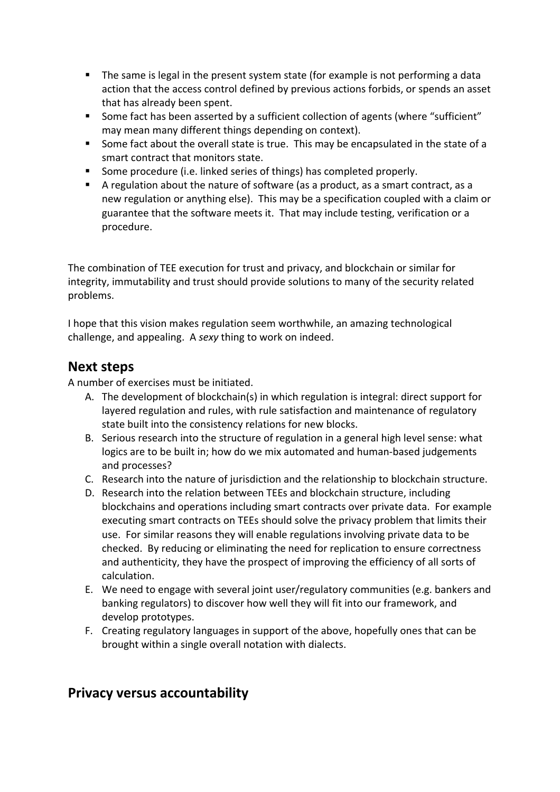- The same is legal in the present system state (for example is not performing a data action that the access control defined by previous actions forbids, or spends an asset that has already been spent.
- Some fact has been asserted by a sufficient collection of agents (where "sufficient" may mean many different things depending on context).
- Some fact about the overall state is true. This may be encapsulated in the state of a smart contract that monitors state.
- Some procedure (i.e. linked series of things) has completed properly.
- A regulation about the nature of software (as a product, as a smart contract, as a new regulation or anything else). This may be a specification coupled with a claim or guarantee that the software meets it. That may include testing, verification or a procedure.

The combination of TEE execution for trust and privacy, and blockchain or similar for integrity, immutability and trust should provide solutions to many of the security related problems.

I hope that this vision makes regulation seem worthwhile, an amazing technological challenge, and appealing. A *sexy* thing to work on indeed.

## **Next steps**

A number of exercises must be initiated.

- A. The development of blockchain(s) in which regulation is integral: direct support for layered regulation and rules, with rule satisfaction and maintenance of regulatory state built into the consistency relations for new blocks.
- B. Serious research into the structure of regulation in a general high level sense: what logics are to be built in; how do we mix automated and human-based judgements and processes?
- C. Research into the nature of jurisdiction and the relationship to blockchain structure.
- D. Research into the relation between TEEs and blockchain structure, including blockchains and operations including smart contracts over private data. For example executing smart contracts on TEEs should solve the privacy problem that limits their use. For similar reasons they will enable regulations involving private data to be checked. By reducing or eliminating the need for replication to ensure correctness and authenticity, they have the prospect of improving the efficiency of all sorts of calculation.
- E. We need to engage with several joint user/regulatory communities (e.g. bankers and banking regulators) to discover how well they will fit into our framework, and develop prototypes.
- F. Creating regulatory languages in support of the above, hopefully ones that can be brought within a single overall notation with dialects.

# **Privacy versus accountability**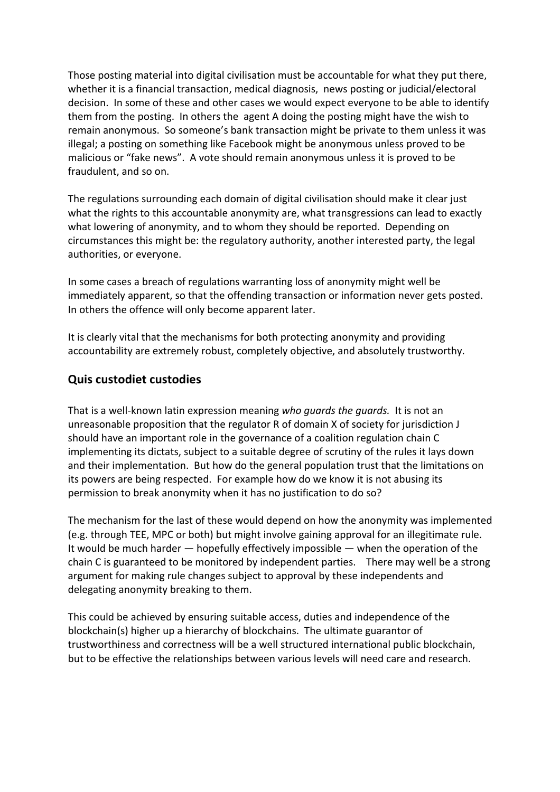Those posting material into digital civilisation must be accountable for what they put there, whether it is a financial transaction, medical diagnosis, news posting or judicial/electoral decision. In some of these and other cases we would expect everyone to be able to identify them from the posting. In others the agent A doing the posting might have the wish to remain anonymous. So someone's bank transaction might be private to them unless it was illegal; a posting on something like Facebook might be anonymous unless proved to be malicious or "fake news". A vote should remain anonymous unless it is proved to be fraudulent, and so on.

The regulations surrounding each domain of digital civilisation should make it clear just what the rights to this accountable anonymity are, what transgressions can lead to exactly what lowering of anonymity, and to whom they should be reported. Depending on circumstances this might be: the regulatory authority, another interested party, the legal authorities, or everyone.

In some cases a breach of regulations warranting loss of anonymity might well be immediately apparent, so that the offending transaction or information never gets posted. In others the offence will only become apparent later.

It is clearly vital that the mechanisms for both protecting anonymity and providing accountability are extremely robust, completely objective, and absolutely trustworthy.

### **Quis custodiet custodies**

That is a well-known latin expression meaning *who guards the guards.* It is not an unreasonable proposition that the regulator R of domain X of society for jurisdiction J should have an important role in the governance of a coalition regulation chain C implementing its dictats, subject to a suitable degree of scrutiny of the rules it lays down and their implementation. But how do the general population trust that the limitations on its powers are being respected. For example how do we know it is not abusing its permission to break anonymity when it has no justification to do so?

The mechanism for the last of these would depend on how the anonymity was implemented (e.g. through TEE, MPC or both) but might involve gaining approval for an illegitimate rule. It would be much harder — hopefully effectively impossible — when the operation of the chain C is guaranteed to be monitored by independent parties. There may well be a strong argument for making rule changes subject to approval by these independents and delegating anonymity breaking to them.

This could be achieved by ensuring suitable access, duties and independence of the blockchain(s) higher up a hierarchy of blockchains. The ultimate guarantor of trustworthiness and correctness will be a well structured international public blockchain, but to be effective the relationships between various levels will need care and research.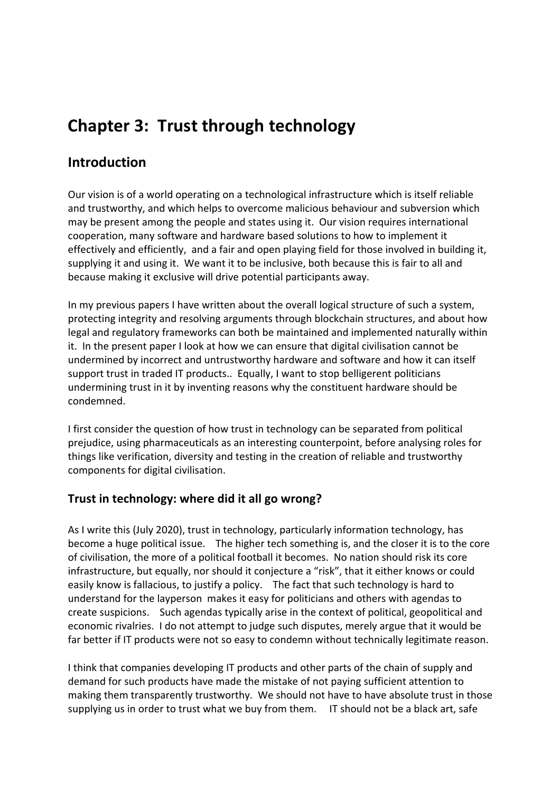# **Chapter 3: Trust through technology**

# **Introduction**

Our vision is of a world operating on a technological infrastructure which is itself reliable and trustworthy, and which helps to overcome malicious behaviour and subversion which may be present among the people and states using it. Our vision requires international cooperation, many software and hardware based solutions to how to implement it effectively and efficiently, and a fair and open playing field for those involved in building it, supplying it and using it. We want it to be inclusive, both because this is fair to all and because making it exclusive will drive potential participants away.

In my previous papers I have written about the overall logical structure of such a system, protecting integrity and resolving arguments through blockchain structures, and about how legal and regulatory frameworks can both be maintained and implemented naturally within it. In the present paper I look at how we can ensure that digital civilisation cannot be undermined by incorrect and untrustworthy hardware and software and how it can itself support trust in traded IT products.. Equally, I want to stop belligerent politicians undermining trust in it by inventing reasons why the constituent hardware should be condemned.

I first consider the question of how trust in technology can be separated from political prejudice, using pharmaceuticals as an interesting counterpoint, before analysing roles for things like verification, diversity and testing in the creation of reliable and trustworthy components for digital civilisation.

## **Trust in technology: where did it all go wrong?**

As I write this (July 2020), trust in technology, particularly information technology, has become a huge political issue. The higher tech something is, and the closer it is to the core of civilisation, the more of a political football it becomes. No nation should risk its core infrastructure, but equally, nor should it conjecture a "risk", that it either knows or could easily know is fallacious, to justify a policy. The fact that such technology is hard to understand for the layperson makes it easy for politicians and others with agendas to create suspicions. Such agendas typically arise in the context of political, geopolitical and economic rivalries. I do not attempt to judge such disputes, merely argue that it would be far better if IT products were not so easy to condemn without technically legitimate reason.

I think that companies developing IT products and other parts of the chain of supply and demand for such products have made the mistake of not paying sufficient attention to making them transparently trustworthy. We should not have to have absolute trust in those supplying us in order to trust what we buy from them. IT should not be a black art, safe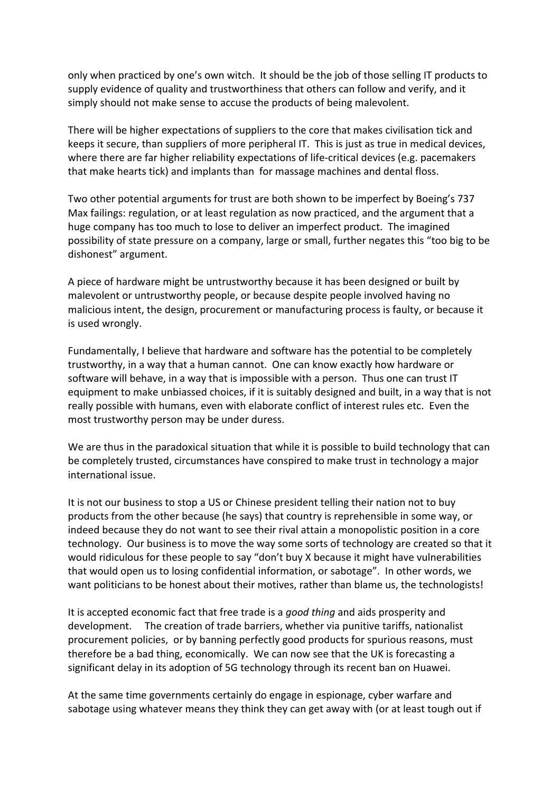only when practiced by one's own witch. It should be the job of those selling IT products to supply evidence of quality and trustworthiness that others can follow and verify, and it simply should not make sense to accuse the products of being malevolent.

There will be higher expectations of suppliers to the core that makes civilisation tick and keeps it secure, than suppliers of more peripheral IT. This is just as true in medical devices, where there are far higher reliability expectations of life-critical devices (e.g. pacemakers that make hearts tick) and implants than for massage machines and dental floss.

Two other potential arguments for trust are both shown to be imperfect by Boeing's 737 Max failings: regulation, or at least regulation as now practiced, and the argument that a huge company has too much to lose to deliver an imperfect product. The imagined possibility of state pressure on a company, large or small, further negates this "too big to be dishonest" argument.

A piece of hardware might be untrustworthy because it has been designed or built by malevolent or untrustworthy people, or because despite people involved having no malicious intent, the design, procurement or manufacturing process is faulty, or because it is used wrongly.

Fundamentally, I believe that hardware and software has the potential to be completely trustworthy, in a way that a human cannot. One can know exactly how hardware or software will behave, in a way that is impossible with a person. Thus one can trust IT equipment to make unbiassed choices, if it is suitably designed and built, in a way that is not really possible with humans, even with elaborate conflict of interest rules etc. Even the most trustworthy person may be under duress.

We are thus in the paradoxical situation that while it is possible to build technology that can be completely trusted, circumstances have conspired to make trust in technology a major international issue.

It is not our business to stop a US or Chinese president telling their nation not to buy products from the other because (he says) that country is reprehensible in some way, or indeed because they do not want to see their rival attain a monopolistic position in a core technology. Our business is to move the way some sorts of technology are created so that it would ridiculous for these people to say "don't buy X because it might have vulnerabilities that would open us to losing confidential information, or sabotage". In other words, we want politicians to be honest about their motives, rather than blame us, the technologists!

It is accepted economic fact that free trade is a *good thing* and aids prosperity and development. The creation of trade barriers, whether via punitive tariffs, nationalist procurement policies, or by banning perfectly good products for spurious reasons, must therefore be a bad thing, economically. We can now see that the UK is forecasting a significant delay in its adoption of 5G technology through its recent ban on Huawei.

At the same time governments certainly do engage in espionage, cyber warfare and sabotage using whatever means they think they can get away with (or at least tough out if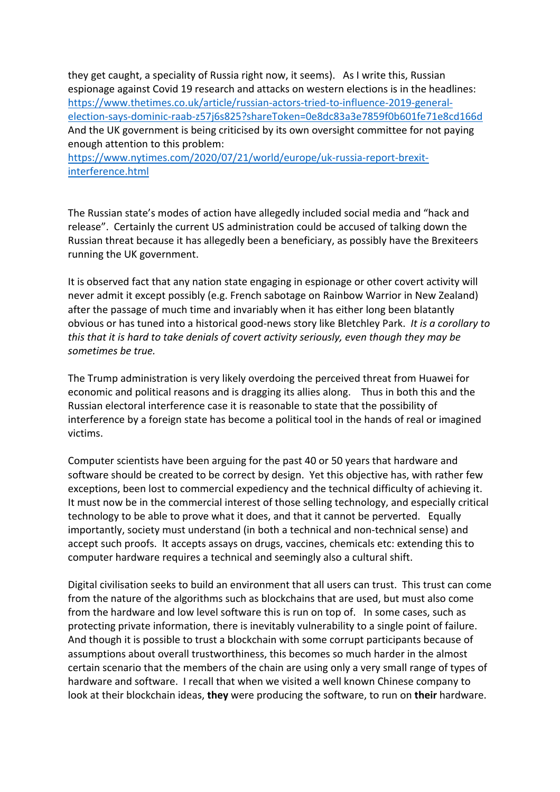they get caught, a speciality of Russia right now, it seems). As I write this, Russian espionage against Covid 19 research and attacks on western elections is in the headlines: https://www.thetimes.co.uk/article/russian-actors-tried-to-influence-2019-generalelection-says-dominic-raab-z57j6s825?shareToken=0e8dc83a3e7859f0b601fe71e8cd166d And the UK government is being criticised by its own oversight committee for not paying enough attention to this problem:

https://www.nytimes.com/2020/07/21/world/europe/uk-russia-report-brexitinterference.html

The Russian state's modes of action have allegedly included social media and "hack and release". Certainly the current US administration could be accused of talking down the Russian threat because it has allegedly been a beneficiary, as possibly have the Brexiteers running the UK government.

It is observed fact that any nation state engaging in espionage or other covert activity will never admit it except possibly (e.g. French sabotage on Rainbow Warrior in New Zealand) after the passage of much time and invariably when it has either long been blatantly obvious or has tuned into a historical good-news story like Bletchley Park. *It is a corollary to this that it is hard to take denials of covert activity seriously, even though they may be sometimes be true.* 

The Trump administration is very likely overdoing the perceived threat from Huawei for economic and political reasons and is dragging its allies along. Thus in both this and the Russian electoral interference case it is reasonable to state that the possibility of interference by a foreign state has become a political tool in the hands of real or imagined victims.

Computer scientists have been arguing for the past 40 or 50 years that hardware and software should be created to be correct by design. Yet this objective has, with rather few exceptions, been lost to commercial expediency and the technical difficulty of achieving it. It must now be in the commercial interest of those selling technology, and especially critical technology to be able to prove what it does, and that it cannot be perverted. Equally importantly, society must understand (in both a technical and non-technical sense) and accept such proofs. It accepts assays on drugs, vaccines, chemicals etc: extending this to computer hardware requires a technical and seemingly also a cultural shift.

Digital civilisation seeks to build an environment that all users can trust. This trust can come from the nature of the algorithms such as blockchains that are used, but must also come from the hardware and low level software this is run on top of. In some cases, such as protecting private information, there is inevitably vulnerability to a single point of failure. And though it is possible to trust a blockchain with some corrupt participants because of assumptions about overall trustworthiness, this becomes so much harder in the almost certain scenario that the members of the chain are using only a very small range of types of hardware and software. I recall that when we visited a well known Chinese company to look at their blockchain ideas, **they** were producing the software, to run on **their** hardware.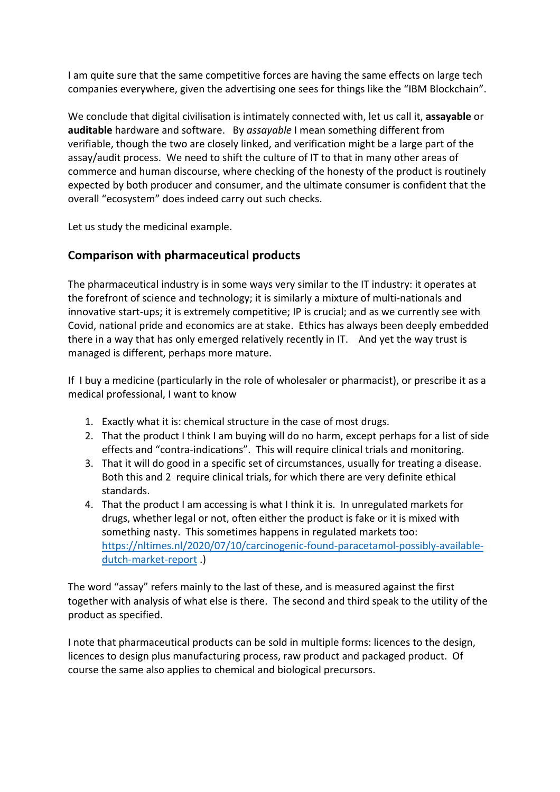I am quite sure that the same competitive forces are having the same effects on large tech companies everywhere, given the advertising one sees for things like the "IBM Blockchain".

We conclude that digital civilisation is intimately connected with, let us call it, **assayable** or **auditable** hardware and software. By *assayable* I mean something different from verifiable, though the two are closely linked, and verification might be a large part of the assay/audit process. We need to shift the culture of IT to that in many other areas of commerce and human discourse, where checking of the honesty of the product is routinely expected by both producer and consumer, and the ultimate consumer is confident that the overall "ecosystem" does indeed carry out such checks.

Let us study the medicinal example.

## **Comparison with pharmaceutical products**

The pharmaceutical industry is in some ways very similar to the IT industry: it operates at the forefront of science and technology; it is similarly a mixture of multi-nationals and innovative start-ups; it is extremely competitive; IP is crucial; and as we currently see with Covid, national pride and economics are at stake. Ethics has always been deeply embedded there in a way that has only emerged relatively recently in IT. And yet the way trust is managed is different, perhaps more mature.

If I buy a medicine (particularly in the role of wholesaler or pharmacist), or prescribe it as a medical professional, I want to know

- 1. Exactly what it is: chemical structure in the case of most drugs.
- 2. That the product I think I am buying will do no harm, except perhaps for a list of side effects and "contra-indications". This will require clinical trials and monitoring.
- 3. That it will do good in a specific set of circumstances, usually for treating a disease. Both this and 2 require clinical trials, for which there are very definite ethical standards.
- 4. That the product I am accessing is what I think it is. In unregulated markets for drugs, whether legal or not, often either the product is fake or it is mixed with something nasty. This sometimes happens in regulated markets too: https://nltimes.nl/2020/07/10/carcinogenic-found-paracetamol-possibly-availabledutch-market-report .)

The word "assay" refers mainly to the last of these, and is measured against the first together with analysis of what else is there. The second and third speak to the utility of the product as specified.

I note that pharmaceutical products can be sold in multiple forms: licences to the design, licences to design plus manufacturing process, raw product and packaged product. Of course the same also applies to chemical and biological precursors.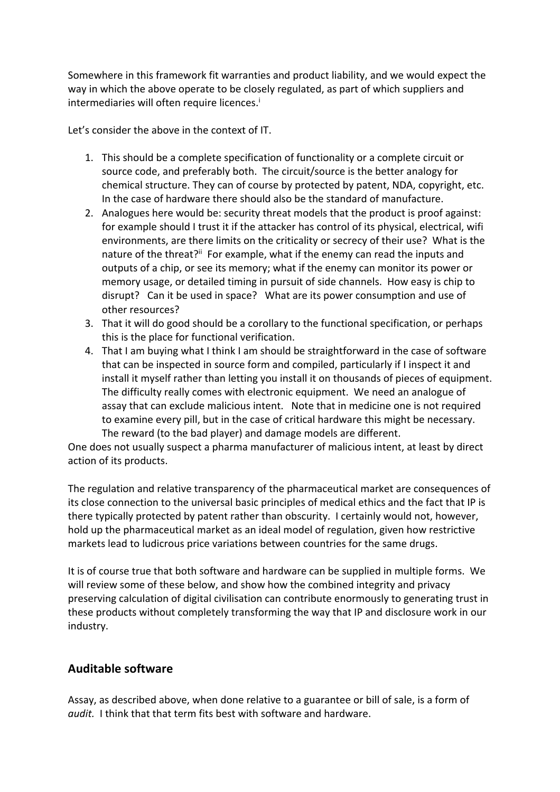Somewhere in this framework fit warranties and product liability, and we would expect the way in which the above operate to be closely regulated, as part of which suppliers and intermediaries will often require licences.<sup>i</sup>

Let's consider the above in the context of IT.

- 1. This should be a complete specification of functionality or a complete circuit or source code, and preferably both. The circuit/source is the better analogy for chemical structure. They can of course by protected by patent, NDA, copyright, etc. In the case of hardware there should also be the standard of manufacture.
- 2. Analogues here would be: security threat models that the product is proof against: for example should I trust it if the attacker has control of its physical, electrical, wifi environments, are there limits on the criticality or secrecy of their use? What is the nature of the threat?<sup>ii</sup> For example, what if the enemy can read the inputs and outputs of a chip, or see its memory; what if the enemy can monitor its power or memory usage, or detailed timing in pursuit of side channels. How easy is chip to disrupt? Can it be used in space? What are its power consumption and use of other resources?
- 3. That it will do good should be a corollary to the functional specification, or perhaps this is the place for functional verification.
- 4. That I am buying what I think I am should be straightforward in the case of software that can be inspected in source form and compiled, particularly if I inspect it and install it myself rather than letting you install it on thousands of pieces of equipment. The difficulty really comes with electronic equipment. We need an analogue of assay that can exclude malicious intent. Note that in medicine one is not required to examine every pill, but in the case of critical hardware this might be necessary. The reward (to the bad player) and damage models are different.

One does not usually suspect a pharma manufacturer of malicious intent, at least by direct action of its products.

The regulation and relative transparency of the pharmaceutical market are consequences of its close connection to the universal basic principles of medical ethics and the fact that IP is there typically protected by patent rather than obscurity. I certainly would not, however, hold up the pharmaceutical market as an ideal model of regulation, given how restrictive markets lead to ludicrous price variations between countries for the same drugs.

It is of course true that both software and hardware can be supplied in multiple forms. We will review some of these below, and show how the combined integrity and privacy preserving calculation of digital civilisation can contribute enormously to generating trust in these products without completely transforming the way that IP and disclosure work in our industry.

## **Auditable software**

Assay, as described above, when done relative to a guarantee or bill of sale, is a form of *audit.* I think that that term fits best with software and hardware.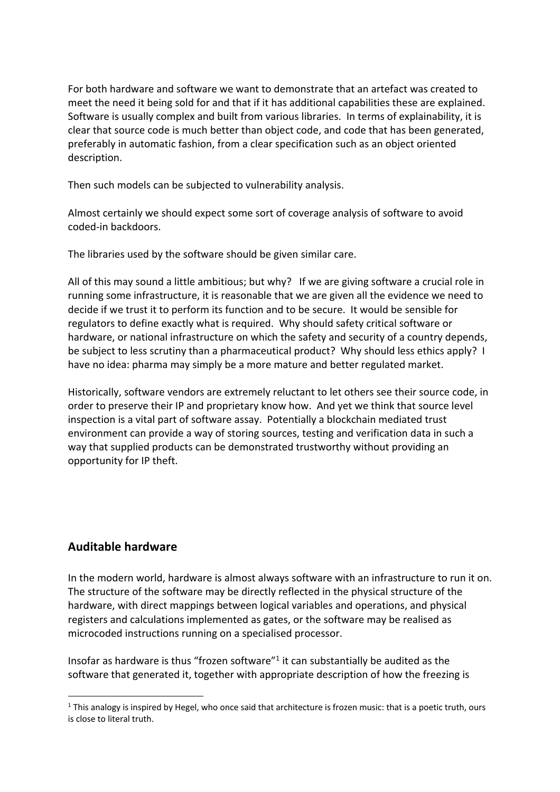For both hardware and software we want to demonstrate that an artefact was created to meet the need it being sold for and that if it has additional capabilities these are explained. Software is usually complex and built from various libraries. In terms of explainability, it is clear that source code is much better than object code, and code that has been generated, preferably in automatic fashion, from a clear specification such as an object oriented description.

Then such models can be subjected to vulnerability analysis.

Almost certainly we should expect some sort of coverage analysis of software to avoid coded-in backdoors.

The libraries used by the software should be given similar care.

All of this may sound a little ambitious; but why? If we are giving software a crucial role in running some infrastructure, it is reasonable that we are given all the evidence we need to decide if we trust it to perform its function and to be secure. It would be sensible for regulators to define exactly what is required. Why should safety critical software or hardware, or national infrastructure on which the safety and security of a country depends, be subject to less scrutiny than a pharmaceutical product? Why should less ethics apply? I have no idea: pharma may simply be a more mature and better regulated market.

Historically, software vendors are extremely reluctant to let others see their source code, in order to preserve their IP and proprietary know how. And yet we think that source level inspection is a vital part of software assay. Potentially a blockchain mediated trust environment can provide a way of storing sources, testing and verification data in such a way that supplied products can be demonstrated trustworthy without providing an opportunity for IP theft.

#### **Auditable hardware**

In the modern world, hardware is almost always software with an infrastructure to run it on. The structure of the software may be directly reflected in the physical structure of the hardware, with direct mappings between logical variables and operations, and physical registers and calculations implemented as gates, or the software may be realised as microcoded instructions running on a specialised processor.

Insofar as hardware is thus "frozen software"1 it can substantially be audited as the software that generated it, together with appropriate description of how the freezing is

 $1$  This analogy is inspired by Hegel, who once said that architecture is frozen music: that is a poetic truth, ours is close to literal truth.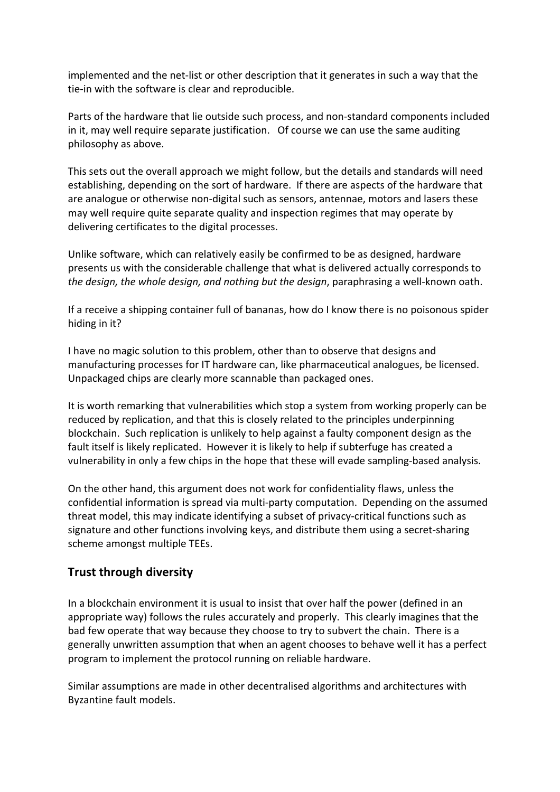implemented and the net-list or other description that it generates in such a way that the tie-in with the software is clear and reproducible.

Parts of the hardware that lie outside such process, and non-standard components included in it, may well require separate justification. Of course we can use the same auditing philosophy as above.

This sets out the overall approach we might follow, but the details and standards will need establishing, depending on the sort of hardware. If there are aspects of the hardware that are analogue or otherwise non-digital such as sensors, antennae, motors and lasers these may well require quite separate quality and inspection regimes that may operate by delivering certificates to the digital processes.

Unlike software, which can relatively easily be confirmed to be as designed, hardware presents us with the considerable challenge that what is delivered actually corresponds to *the design, the whole design, and nothing but the design*, paraphrasing a well-known oath.

If a receive a shipping container full of bananas, how do I know there is no poisonous spider hiding in it?

I have no magic solution to this problem, other than to observe that designs and manufacturing processes for IT hardware can, like pharmaceutical analogues, be licensed. Unpackaged chips are clearly more scannable than packaged ones.

It is worth remarking that vulnerabilities which stop a system from working properly can be reduced by replication, and that this is closely related to the principles underpinning blockchain. Such replication is unlikely to help against a faulty component design as the fault itself is likely replicated. However it is likely to help if subterfuge has created a vulnerability in only a few chips in the hope that these will evade sampling-based analysis.

On the other hand, this argument does not work for confidentiality flaws, unless the confidential information is spread via multi-party computation. Depending on the assumed threat model, this may indicate identifying a subset of privacy-critical functions such as signature and other functions involving keys, and distribute them using a secret-sharing scheme amongst multiple TEEs.

#### **Trust through diversity**

In a blockchain environment it is usual to insist that over half the power (defined in an appropriate way) follows the rules accurately and properly. This clearly imagines that the bad few operate that way because they choose to try to subvert the chain. There is a generally unwritten assumption that when an agent chooses to behave well it has a perfect program to implement the protocol running on reliable hardware.

Similar assumptions are made in other decentralised algorithms and architectures with Byzantine fault models.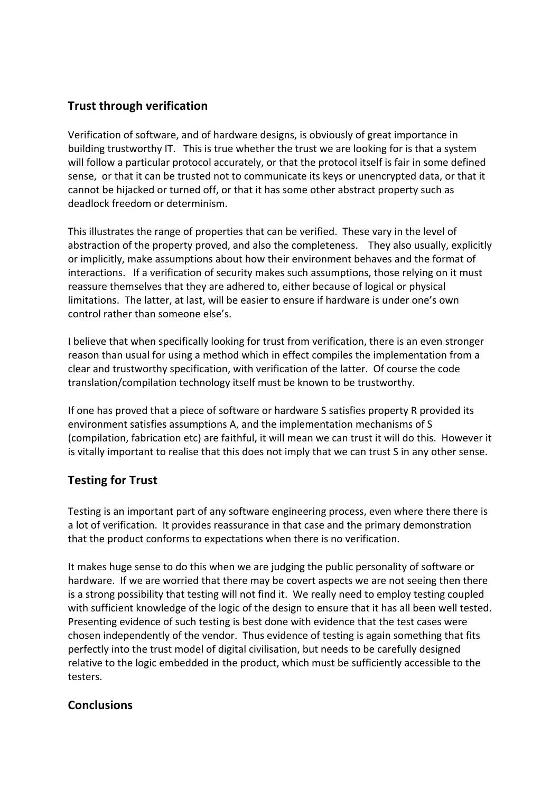## **Trust through verification**

Verification of software, and of hardware designs, is obviously of great importance in building trustworthy IT. This is true whether the trust we are looking for is that a system will follow a particular protocol accurately, or that the protocol itself is fair in some defined sense, or that it can be trusted not to communicate its keys or unencrypted data, or that it cannot be hijacked or turned off, or that it has some other abstract property such as deadlock freedom or determinism.

This illustrates the range of properties that can be verified. These vary in the level of abstraction of the property proved, and also the completeness. They also usually, explicitly or implicitly, make assumptions about how their environment behaves and the format of interactions. If a verification of security makes such assumptions, those relying on it must reassure themselves that they are adhered to, either because of logical or physical limitations. The latter, at last, will be easier to ensure if hardware is under one's own control rather than someone else's.

I believe that when specifically looking for trust from verification, there is an even stronger reason than usual for using a method which in effect compiles the implementation from a clear and trustworthy specification, with verification of the latter. Of course the code translation/compilation technology itself must be known to be trustworthy.

If one has proved that a piece of software or hardware S satisfies property R provided its environment satisfies assumptions A, and the implementation mechanisms of S (compilation, fabrication etc) are faithful, it will mean we can trust it will do this. However it is vitally important to realise that this does not imply that we can trust S in any other sense.

## **Testing for Trust**

Testing is an important part of any software engineering process, even where there there is a lot of verification. It provides reassurance in that case and the primary demonstration that the product conforms to expectations when there is no verification.

It makes huge sense to do this when we are judging the public personality of software or hardware. If we are worried that there may be covert aspects we are not seeing then there is a strong possibility that testing will not find it. We really need to employ testing coupled with sufficient knowledge of the logic of the design to ensure that it has all been well tested. Presenting evidence of such testing is best done with evidence that the test cases were chosen independently of the vendor. Thus evidence of testing is again something that fits perfectly into the trust model of digital civilisation, but needs to be carefully designed relative to the logic embedded in the product, which must be sufficiently accessible to the testers.

#### **Conclusions**